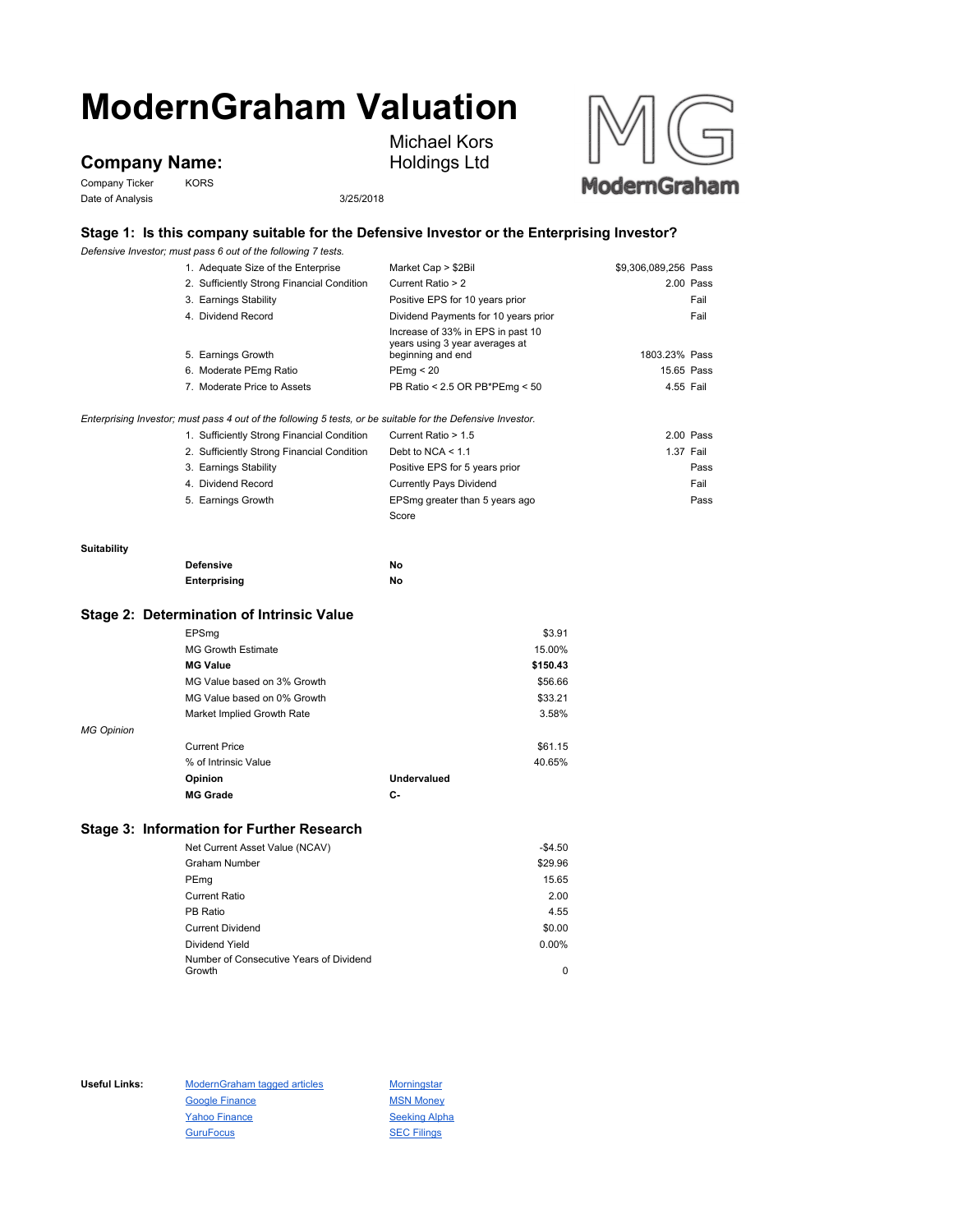# **ModernGraham Valuation**

## **Company Name:**

Company Ticker KORS Date of Analysis 3/25/2018



Michael Kors



## **Stage 1: Is this company suitable for the Defensive Investor or the Enterprising Investor?**

*Defensive Investor; must pass 6 out of the following 7 tests.*

|             | 1. Adequate Size of the Enterprise                                                                          | Market Cap > \$2Bil                                                                      | \$9,306,089,256 Pass |            |
|-------------|-------------------------------------------------------------------------------------------------------------|------------------------------------------------------------------------------------------|----------------------|------------|
|             | 2. Sufficiently Strong Financial Condition                                                                  | Current Ratio > 2                                                                        |                      | 2.00 Pass  |
|             | 3. Earnings Stability                                                                                       | Positive EPS for 10 years prior                                                          |                      | Fail       |
|             | 4. Dividend Record                                                                                          | Dividend Payments for 10 years prior                                                     |                      | Fail       |
|             | 5. Earnings Growth                                                                                          | Increase of 33% in EPS in past 10<br>years using 3 year averages at<br>beginning and end | 1803.23% Pass        |            |
|             | 6. Moderate PEmg Ratio                                                                                      | PEmq < 20                                                                                |                      | 15.65 Pass |
|             | 7. Moderate Price to Assets                                                                                 | PB Ratio < 2.5 OR PB*PEmg < 50                                                           |                      | 4.55 Fail  |
|             | Enterprising Investor; must pass 4 out of the following 5 tests, or be suitable for the Defensive Investor. |                                                                                          |                      |            |
|             | 1. Sufficiently Strong Financial Condition                                                                  | Current Ratio > 1.5                                                                      |                      | 2.00 Pass  |
|             | 2. Sufficiently Strong Financial Condition                                                                  | Debt to NCA $\leq 1.1$                                                                   |                      | 1.37 Fail  |
|             | 3. Earnings Stability                                                                                       | Positive EPS for 5 years prior                                                           |                      | Pass       |
|             | 4. Dividend Record                                                                                          | <b>Currently Pays Dividend</b>                                                           |                      | Fail       |
|             | 5. Earnings Growth                                                                                          | EPSmg greater than 5 years ago                                                           |                      | Pass       |
|             |                                                                                                             | Score                                                                                    |                      |            |
| Suitability |                                                                                                             |                                                                                          |                      |            |
|             | <b>Defensive</b>                                                                                            | No                                                                                       |                      |            |
|             | Enterprising                                                                                                | No                                                                                       |                      |            |
|             | Stage 2: Determination of Intrinsic Value                                                                   |                                                                                          |                      |            |
|             | EPSma                                                                                                       | \$3.91                                                                                   |                      |            |
|             | <b>MG Growth Estimate</b>                                                                                   | 15.00%                                                                                   |                      |            |
|             | <b>MG Value</b>                                                                                             | \$150.43                                                                                 |                      |            |

| <b>MG Grade</b>             | С-          |         |
|-----------------------------|-------------|---------|
| Opinion                     | Undervalued |         |
| % of Intrinsic Value        |             | 40.65%  |
| <b>Current Price</b>        |             | \$61.15 |
|                             |             |         |
| Market Implied Growth Rate  |             | 3.58%   |
| MG Value based on 0% Growth |             | \$33.21 |
| MG Value based on 3% Growth |             | \$56.66 |
|                             |             |         |

### **Stage 3: Information for Further Research**

| Net Current Asset Value (NCAV)          | $-$4.50$ |
|-----------------------------------------|----------|
| <b>Graham Number</b>                    | \$29.96  |
| PEmg                                    | 15.65    |
| <b>Current Ratio</b>                    | 2.00     |
| PB Ratio                                | 4.55     |
| <b>Current Dividend</b>                 | \$0.00   |
| Dividend Yield                          | $0.00\%$ |
| Number of Consecutive Years of Dividend |          |
| Growth                                  | 0        |

Useful Links: ModernGraham tagged articles Morningstar Google Finance MSN Money Yahoo Finance Seeking Alpha GuruFocus **SEC Filings**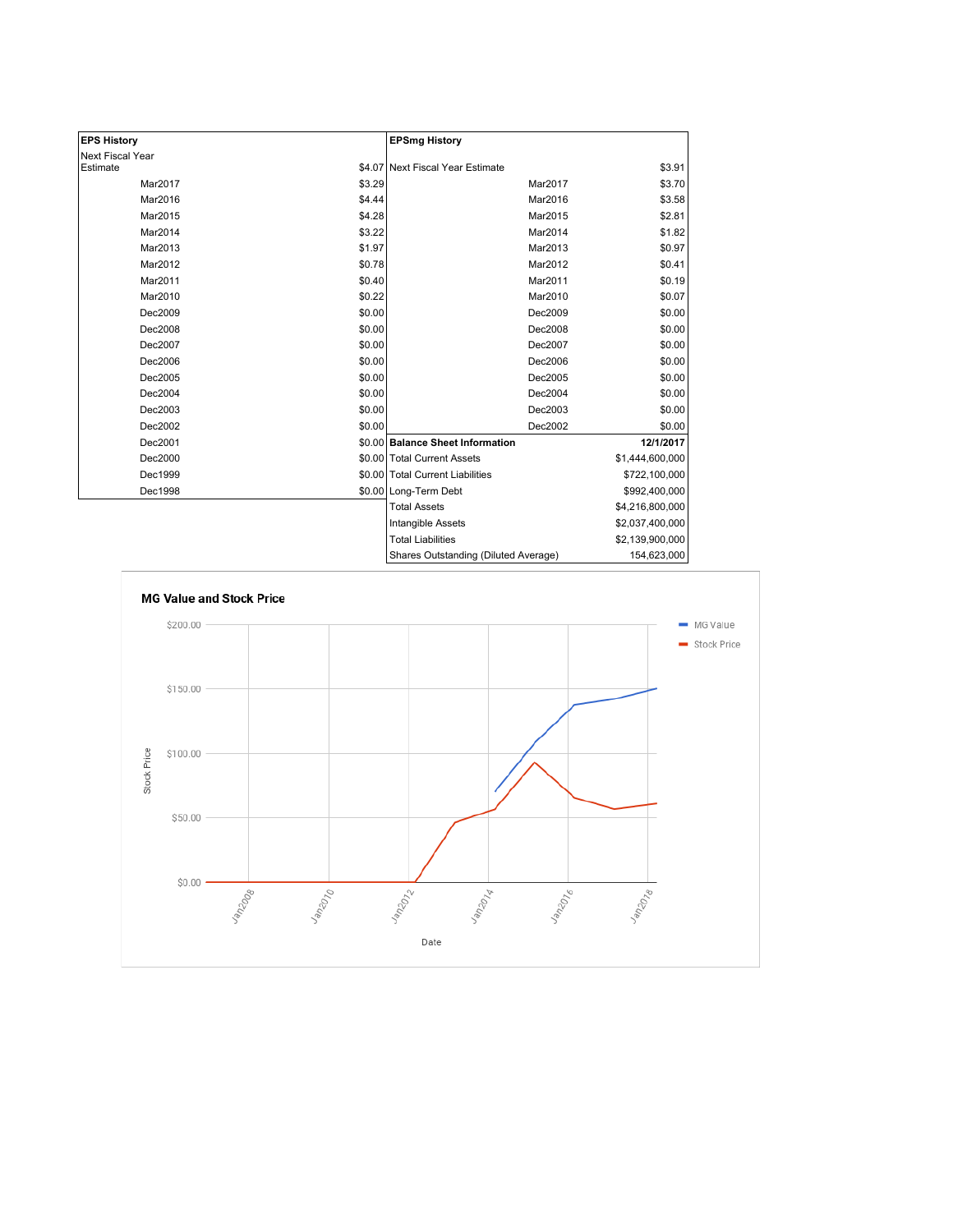| <b>EPS History</b> |        | <b>EPSmg History</b>                 |                 |
|--------------------|--------|--------------------------------------|-----------------|
| Next Fiscal Year   |        |                                      |                 |
| Estimate           |        | \$4.07 Next Fiscal Year Estimate     | \$3.91          |
| Mar2017            | \$3.29 | Mar2017                              | \$3.70          |
| Mar2016            | \$4.44 | Mar2016                              | \$3.58          |
| Mar2015            | \$4.28 | Mar2015                              | \$2.81          |
| Mar2014            | \$3.22 | Mar2014                              | \$1.82          |
| Mar2013            | \$1.97 | Mar2013                              | \$0.97          |
| Mar2012            | \$0.78 | Mar2012                              | \$0.41          |
| Mar2011            | \$0.40 | Mar2011                              | \$0.19          |
| Mar2010            | \$0.22 | Mar2010                              | \$0.07          |
| Dec2009            | \$0.00 | Dec2009                              | \$0.00          |
| Dec2008            | \$0.00 | Dec2008                              | \$0.00          |
| Dec2007            | \$0.00 | Dec2007                              | \$0.00          |
| Dec2006            | \$0.00 | Dec2006                              | \$0.00          |
| Dec2005            | \$0.00 | Dec2005                              | \$0.00          |
| Dec2004            | \$0.00 | Dec2004                              | \$0.00          |
| Dec2003            | \$0.00 | Dec2003                              | \$0.00          |
| Dec2002            | \$0.00 | Dec2002                              | \$0.00          |
| Dec2001            |        | \$0.00 Balance Sheet Information     | 12/1/2017       |
| Dec2000            |        | \$0.00 Total Current Assets          | \$1,444,600,000 |
| Dec1999            |        | \$0.00 Total Current Liabilities     | \$722,100,000   |
| Dec1998            |        | \$0.00 Long-Term Debt                | \$992,400,000   |
|                    |        | <b>Total Assets</b>                  | \$4,216,800,000 |
|                    |        | Intangible Assets                    | \$2,037,400,000 |
|                    |        | <b>Total Liabilities</b>             | \$2,139,900,000 |
|                    |        | Shares Outstanding (Diluted Average) | 154 623 000     |